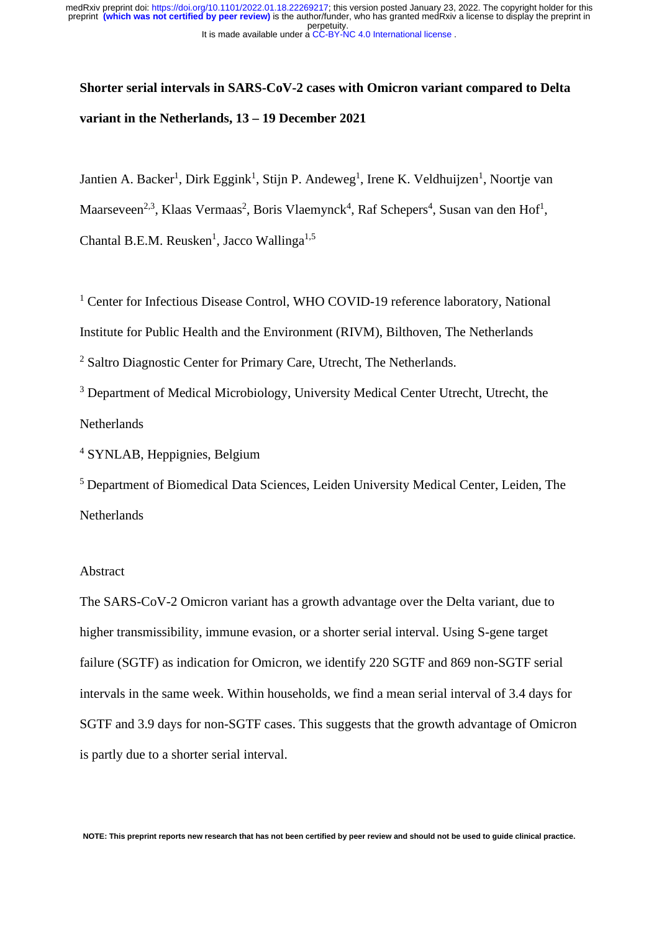# **Shorter serial intervals in SARS-CoV-2 cases with Omicron variant compared to Delta variant in the Netherlands, 13 – 19 December 2021**

Jantien A. Backer<sup>1</sup>, Dirk Eggink<sup>1</sup>, Stijn P. Andeweg<sup>1</sup>, Irene K. Veldhuijzen<sup>1</sup>, Noortje van Maarseveen<sup>2,3</sup>, Klaas Vermaas<sup>2</sup>, Boris Vlaemynck<sup>4</sup>, Raf Schepers<sup>4</sup>, Susan van den Hof<sup>1</sup>, Chantal B.E.M. Reusken<sup>1</sup>, Jacco Wallinga<sup>1,5</sup>

<sup>1</sup> Center for Infectious Disease Control, WHO COVID-19 reference laboratory, National Institute for Public Health and the Environment (RIVM), Bilthoven, The Netherlands <sup>2</sup> Saltro Diagnostic Center for Primary Care, Utrecht, The Netherlands.

<sup>3</sup> Department of Medical Microbiology, University Medical Center Utrecht, Utrecht, the **Netherlands** 

4 SYNLAB, Heppignies, Belgium

<sup>5</sup> Department of Biomedical Data Sciences, Leiden University Medical Center, Leiden, The Netherlands

### Abstract

The SARS-CoV-2 Omicron variant has a growth advantage over the Delta variant, due to higher transmissibility, immune evasion, or a shorter serial interval. Using S-gene target failure (SGTF) as indication for Omicron, we identify 220 SGTF and 869 non-SGTF serial intervals in the same week. Within households, we find a mean serial interval of 3.4 days for SGTF and 3.9 days for non-SGTF cases. This suggests that the growth advantage of Omicron is partly due to a shorter serial interval.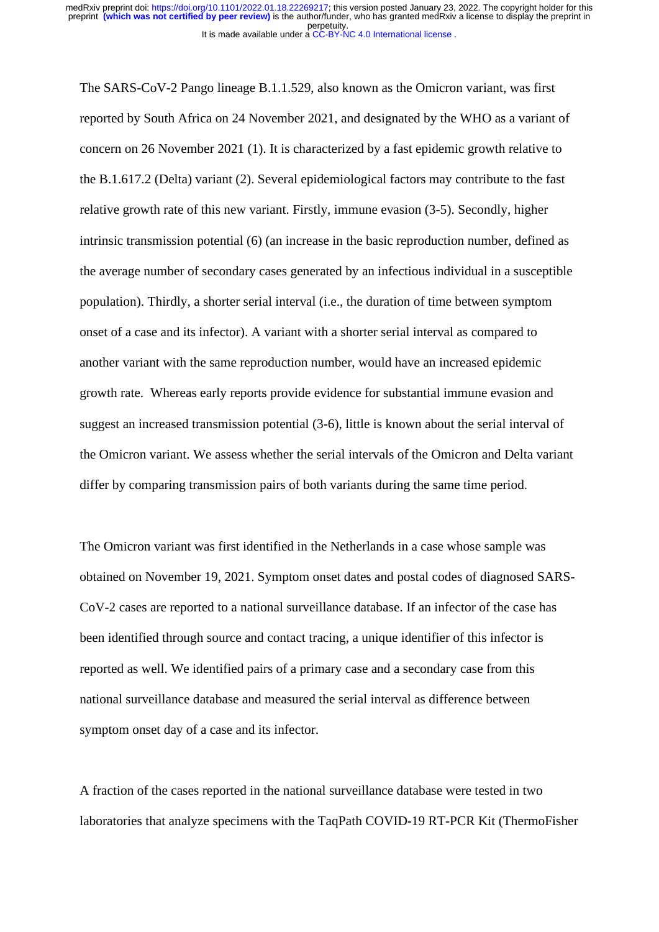The SARS-CoV-2 Pango lineage B.1.1.529, also known as the Omicron variant, was first reported by South Africa on 24 November 2021, and designated by the WHO as a variant of concern on 26 November 2021 (1). It is characterized by a fast epidemic growth relative to the B.1.617.2 (Delta) variant (2). Several epidemiological factors may contribute to the fast relative growth rate of this new variant. Firstly, immune evasion (3-5). Secondly, higher intrinsic transmission potential (6) (an increase in the basic reproduction number, defined as the average number of secondary cases generated by an infectious individual in a susceptible population). Thirdly, a shorter serial interval (i.e., the duration of time between symptom onset of a case and its infector). A variant with a shorter serial interval as compared to another variant with the same reproduction number, would have an increased epidemic growth rate. Whereas early reports provide evidence for substantial immune evasion and suggest an increased transmission potential (3-6), little is known about the serial interval of the Omicron variant. We assess whether the serial intervals of the Omicron and Delta variant differ by comparing transmission pairs of both variants during the same time period.

The Omicron variant was first identified in the Netherlands in a case whose sample was obtained on November 19, 2021. Symptom onset dates and postal codes of diagnosed SARS-CoV-2 cases are reported to a national surveillance database. If an infector of the case has been identified through source and contact tracing, a unique identifier of this infector is reported as well. We identified pairs of a primary case and a secondary case from this national surveillance database and measured the serial interval as difference between symptom onset day of a case and its infector.

A fraction of the cases reported in the national surveillance database were tested in two laboratories that analyze specimens with the TaqPath COVID-19 RT-PCR Kit (ThermoFisher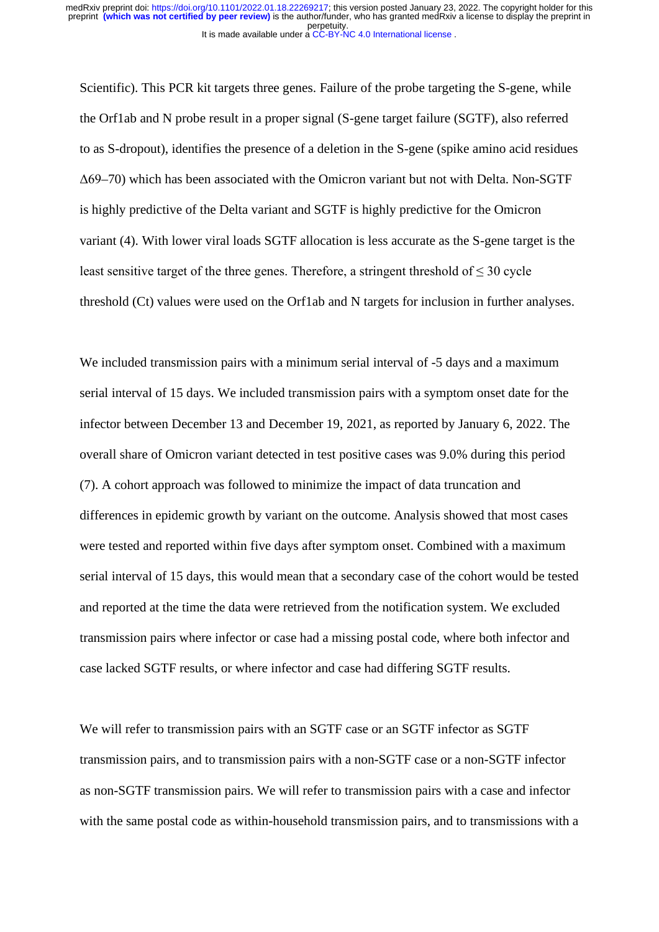Scientific). This PCR kit targets three genes. Failure of the probe targeting the S-gene, while the Orf1ab and N probe result in a proper signal (S-gene target failure (SGTF), also referred to as S-dropout), identifies the presence of a deletion in the S-gene (spike amino acid residues Δ69–70) which has been associated with the Omicron variant but not with Delta. Non-SGTF is highly predictive of the Delta variant and SGTF is highly predictive for the Omicron variant (4). With lower viral loads SGTF allocation is less accurate as the S-gene target is the least sensitive target of the three genes. Therefore, a stringent threshold of  $\leq 30$  cycle threshold (Ct) values were used on the Orf1ab and N targets for inclusion in further analyses.

We included transmission pairs with a minimum serial interval of  $-5$  days and a maximum serial interval of 15 days. We included transmission pairs with a symptom onset date for the infector between December 13 and December 19, 2021, as reported by January 6, 2022. The overall share of Omicron variant detected in test positive cases was 9.0% during this period (7). A cohort approach was followed to minimize the impact of data truncation and differences in epidemic growth by variant on the outcome. Analysis showed that most cases were tested and reported within five days after symptom onset. Combined with a maximum serial interval of 15 days, this would mean that a secondary case of the cohort would be tested and reported at the time the data were retrieved from the notification system. We excluded transmission pairs where infector or case had a missing postal code, where both infector and case lacked SGTF results, or where infector and case had differing SGTF results.

We will refer to transmission pairs with an SGTF case or an SGTF infector as SGTF transmission pairs, and to transmission pairs with a non-SGTF case or a non-SGTF infector as non-SGTF transmission pairs. We will refer to transmission pairs with a case and infector with the same postal code as within-household transmission pairs, and to transmissions with a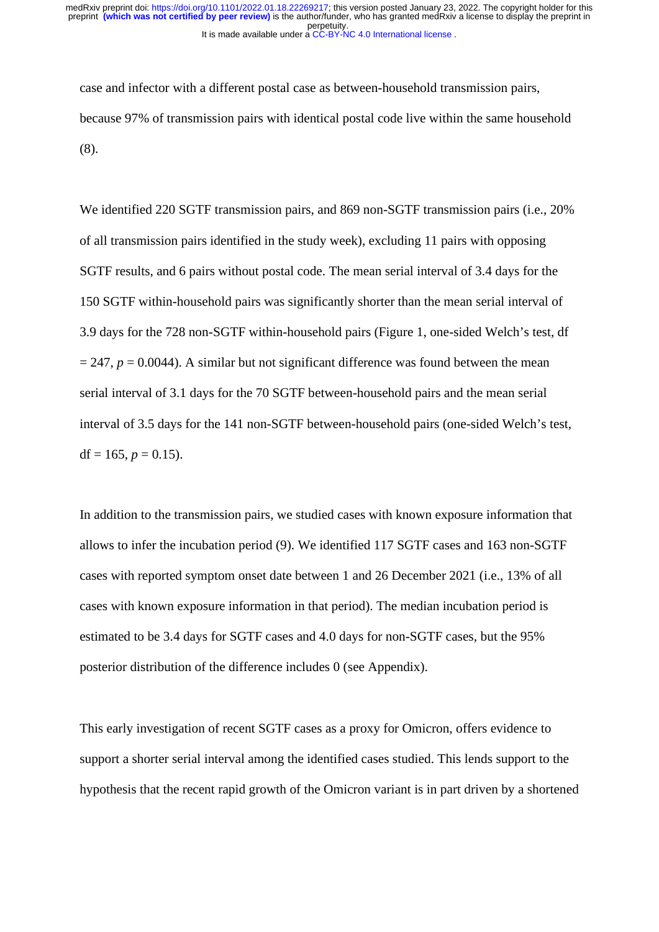case and infector with a different postal case as between-household transmission pairs, because 97% of transmission pairs with identical postal code live within the same household (8).

We identified 220 SGTF transmission pairs, and 869 non-SGTF transmission pairs (i.e., 20% of all transmission pairs identified in the study week), excluding 11 pairs with opposing SGTF results, and 6 pairs without postal code. The mean serial interval of 3.4 days for the 150 SGTF within-household pairs was significantly shorter than the mean serial interval of 3.9 days for the 728 non-SGTF within-household pairs (Figure 1, one-sided Welch's test, df  $= 247$ ,  $p = 0.0044$ ). A similar but not significant difference was found between the mean serial interval of 3.1 days for the 70 SGTF between-household pairs and the mean serial interval of 3.5 days for the 141 non-SGTF between-household pairs (one-sided Welch's test, df =  $165$ ,  $p = 0.15$ ).

In addition to the transmission pairs, we studied cases with known exposure information that allows to infer the incubation period (9). We identified 117 SGTF cases and 163 non-SGTF cases with reported symptom onset date between 1 and 26 December 2021 (i.e., 13% of all cases with known exposure information in that period). The median incubation period is estimated to be 3.4 days for SGTF cases and 4.0 days for non-SGTF cases, but the 95% posterior distribution of the difference includes 0 (see Appendix).

This early investigation of recent SGTF cases as a proxy for Omicron, offers evidence to support a shorter serial interval among the identified cases studied. This lends support to the hypothesis that the recent rapid growth of the Omicron variant is in part driven by a shortened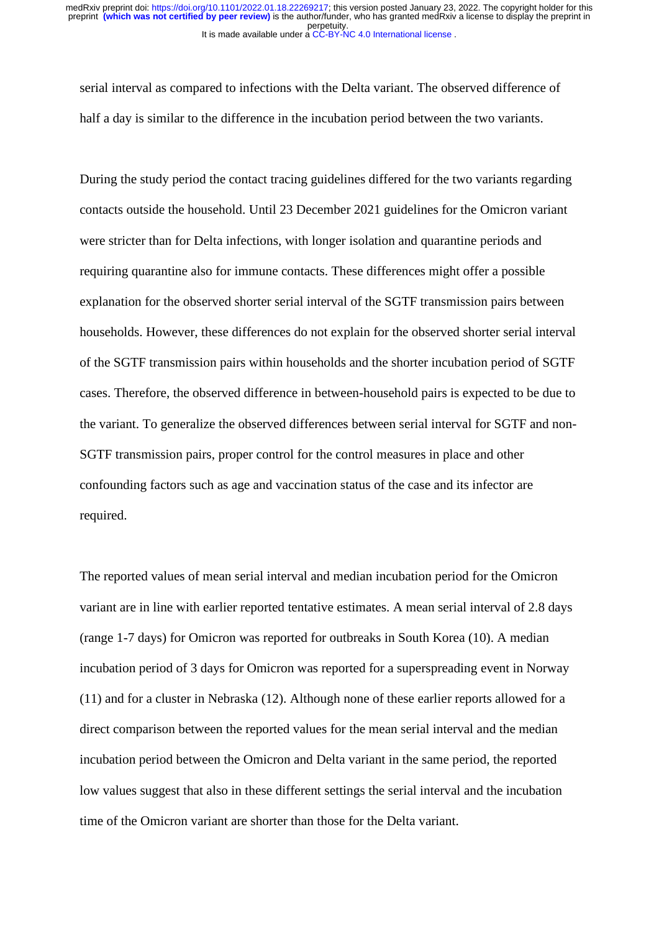serial interval as compared to infections with the Delta variant. The observed difference of half a day is similar to the difference in the incubation period between the two variants.

During the study period the contact tracing guidelines differed for the two variants regarding contacts outside the household. Until 23 December 2021 guidelines for the Omicron variant were stricter than for Delta infections, with longer isolation and quarantine periods and requiring quarantine also for immune contacts. These differences might offer a possible explanation for the observed shorter serial interval of the SGTF transmission pairs between households. However, these differences do not explain for the observed shorter serial interval of the SGTF transmission pairs within households and the shorter incubation period of SGTF cases. Therefore, the observed difference in between-household pairs is expected to be due to the variant. To generalize the observed differences between serial interval for SGTF and non-SGTF transmission pairs, proper control for the control measures in place and other confounding factors such as age and vaccination status of the case and its infector are required.

The reported values of mean serial interval and median incubation period for the Omicron variant are in line with earlier reported tentative estimates. A mean serial interval of 2.8 days (range 1-7 days) for Omicron was reported for outbreaks in South Korea (10). A median incubation period of 3 days for Omicron was reported for a superspreading event in Norway (11) and for a cluster in Nebraska (12). Although none of these earlier reports allowed for a direct comparison between the reported values for the mean serial interval and the median incubation period between the Omicron and Delta variant in the same period, the reported low values suggest that also in these different settings the serial interval and the incubation time of the Omicron variant are shorter than those for the Delta variant.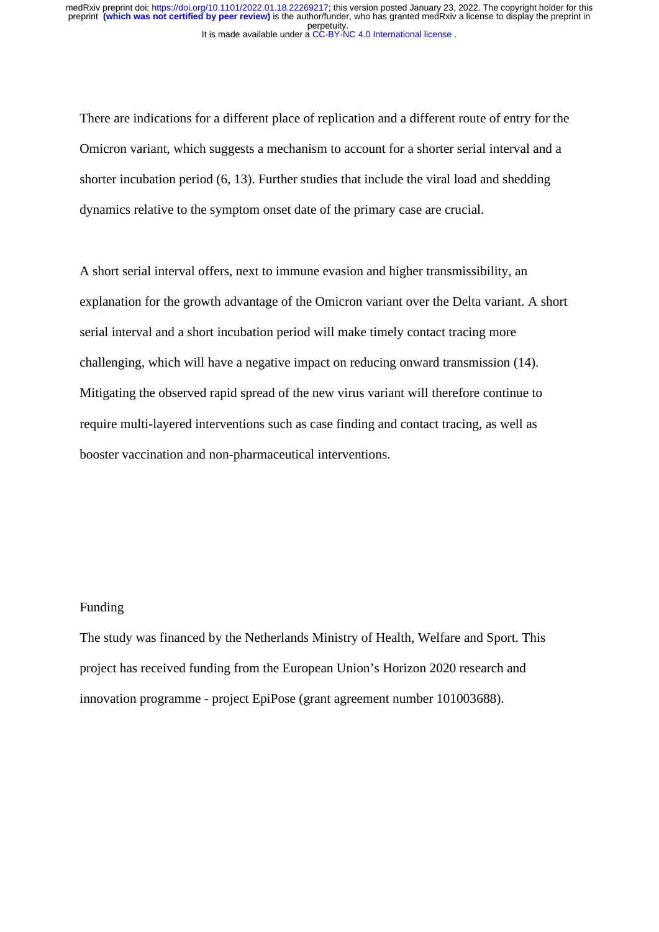There are indications for a different place of replication and a different route of entry for the Omicron variant, which suggests a mechanism to account for a shorter serial interval and a shorter incubation period (6, 13). Further studies that include the viral load and shedding dynamics relative to the symptom onset date of the primary case are crucial.

A short serial interval offers, next to immune evasion and higher transmissibility, an explanation for the growth advantage of the Omicron variant over the Delta variant. A short serial interval and a short incubation period will make timely contact tracing more challenging, which will have a negative impact on reducing onward transmission (14). Mitigating the observed rapid spread of the new virus variant will therefore continue to require multi-layered interventions such as case finding and contact tracing, as well as booster vaccination and non-pharmaceutical interventions.

#### Funding

The study was financed by the Netherlands Ministry of Health, Welfare and Sport. This project has received funding from the European Union's Horizon 2020 research and innovation programme - project EpiPose (grant agreement number 101003688).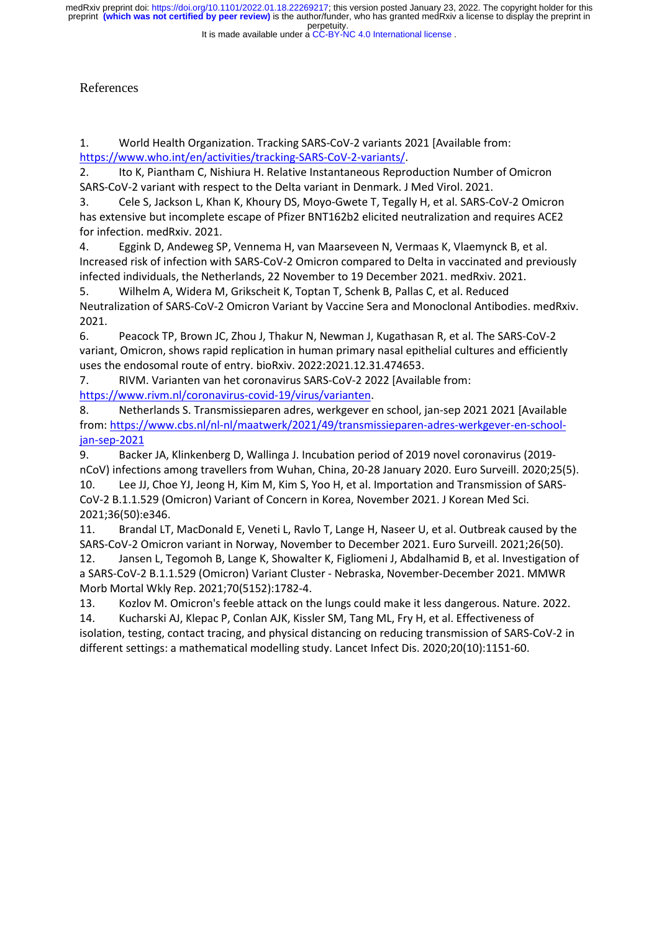perpetuity. preprint **(which was not certified by peer review)** is the author/funder, who has granted medRxiv a license to display the preprint in medRxiv preprint doi: [https://doi.org/10.1101/2022.01.18.22269217;](https://doi.org/10.1101/2022.01.18.22269217) this version posted January 23, 2022. The copyright holder for this

#### It is made available under a CC-BY-NC 4.0 International license.

# References

1. World Health Organization. Tracking SARS-CoV-2 variants 2021 [Available from: [https://www.who.int/en/activities/tracking-SARS-CoV-2-variants/.](https://www.who.int/en/activities/tracking-SARS-CoV-2-variants/)

2. Ito K, Piantham C, Nishiura H. Relative Instantaneous Reproduction Number of Omicron SARS-CoV-2 variant with respect to the Delta variant in Denmark. J Med Virol. 2021.

3. Cele S, Jackson L, Khan K, Khoury DS, Moyo-Gwete T, Tegally H, et al. SARS-CoV-2 Omicron has extensive but incomplete escape of Pfizer BNT162b2 elicited neutralization and requires ACE2 for infection. medRxiv. 2021.

4. Eggink D, Andeweg SP, Vennema H, van Maarseveen N, Vermaas K, Vlaemynck B, et al. Increased risk of infection with SARS-CoV-2 Omicron compared to Delta in vaccinated and previously infected individuals, the Netherlands, 22 November to 19 December 2021. medRxiv. 2021.

5. Wilhelm A, Widera M, Grikscheit K, Toptan T, Schenk B, Pallas C, et al. Reduced Neutralization of SARS-CoV-2 Omicron Variant by Vaccine Sera and Monoclonal Antibodies. medRxiv. 2021.

6. Peacock TP, Brown JC, Zhou J, Thakur N, Newman J, Kugathasan R, et al. The SARS-CoV-2 variant, Omicron, shows rapid replication in human primary nasal epithelial cultures and efficiently uses the endosomal route of entry. bioRxiv. 2022:2021.12.31.474653.

7. RIVM. Varianten van het coronavirus SARS-CoV-2 2022 [Available from: [https://www.rivm.nl/coronavirus-covid-19/virus/varianten.](https://www.rivm.nl/coronavirus-covid-19/virus/varianten)

8. Netherlands S. Transmissieparen adres, werkgever en school, jan-sep 2021 2021 [Available from: [https://www.cbs.nl/nl-nl/maatwerk/2021/49/transmissieparen-adres-werkgever-en-school](https://www.cbs.nl/nl-nl/maatwerk/2021/49/transmissieparen-adres-werkgever-en-school-jan-sep-2021)[jan-sep-2021](https://www.cbs.nl/nl-nl/maatwerk/2021/49/transmissieparen-adres-werkgever-en-school-jan-sep-2021) 

9. Backer JA, Klinkenberg D, Wallinga J. Incubation period of 2019 novel coronavirus (2019 nCoV) infections among travellers from Wuhan, China, 20-28 January 2020. Euro Surveill. 2020;25(5). 10. Lee JJ, Choe YJ, Jeong H, Kim M, Kim S, Yoo H, et al. Importation and Transmission of SARS-

CoV-2 B.1.1.529 (Omicron) Variant of Concern in Korea, November 2021. J Korean Med Sci. 2021;36(50):e346.

11. Brandal LT, MacDonald E, Veneti L, Ravlo T, Lange H, Naseer U, et al. Outbreak caused by the SARS-CoV-2 Omicron variant in Norway, November to December 2021. Euro Surveill. 2021;26(50).

12. Jansen L, Tegomoh B, Lange K, Showalter K, Figliomeni J, Abdalhamid B, et al. Investigation of a SARS-CoV-2 B.1.1.529 (Omicron) Variant Cluster - Nebraska, November-December 2021. MMWR Morb Mortal Wkly Rep. 2021;70(5152):1782-4.

13. Kozlov M. Omicron's feeble attack on the lungs could make it less dangerous. Nature. 2022. 14. Kucharski AJ, Klepac P, Conlan AJK, Kissler SM, Tang ML, Fry H, et al. Effectiveness of isolation, testing, contact tracing, and physical distancing on reducing transmission of SARS-CoV-2 in different settings: a mathematical modelling study. Lancet Infect Dis. 2020;20(10):1151-60.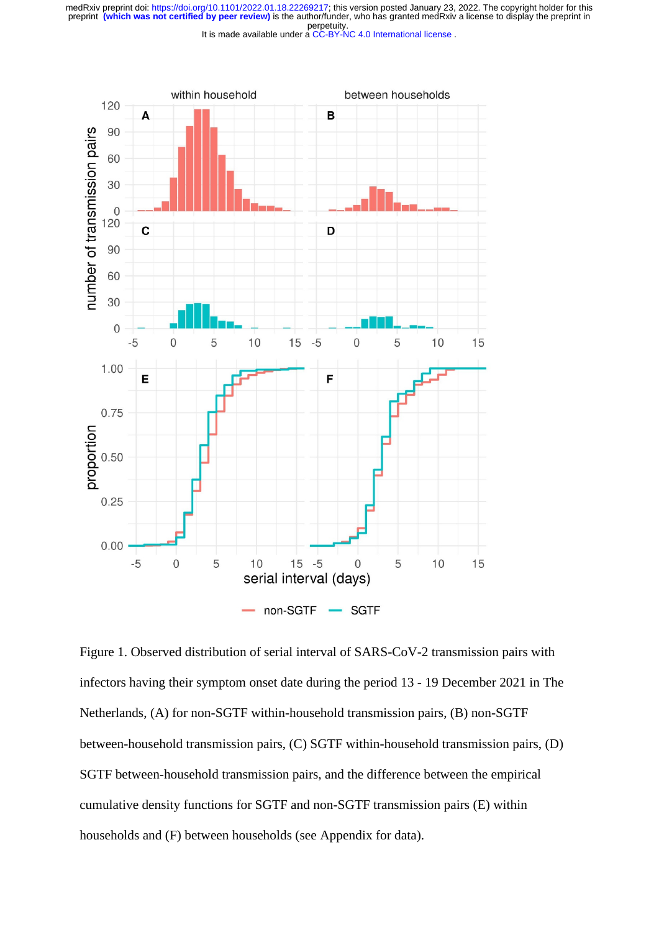perpetuity. medRxiv preprint doi: [https://doi.org/10.1101/2022.01.18.22269217;](https://doi.org/10.1101/2022.01.18.22269217) this version posted January 23, 2022. The copyright holder for this<br>preprint (which was not certified by peer review) is the author/funder, who has granted

It is made available under a CC-BY-NC 4.0 International license.



Figure 1. Observed distribution of serial interval of SARS-CoV-2 transmission pairs with infectors having their symptom onset date during the period 13 - 19 December 2021 in The Netherlands, (A) for non-SGTF within-household transmission pairs, (B) non-SGTF between-household transmission pairs, (C) SGTF within-household transmission pairs, (D) SGTF between-household transmission pairs, and the difference between the empirical cumulative density functions for SGTF and non-SGTF transmission pairs (E) within households and (F) between households (see Appendix for data).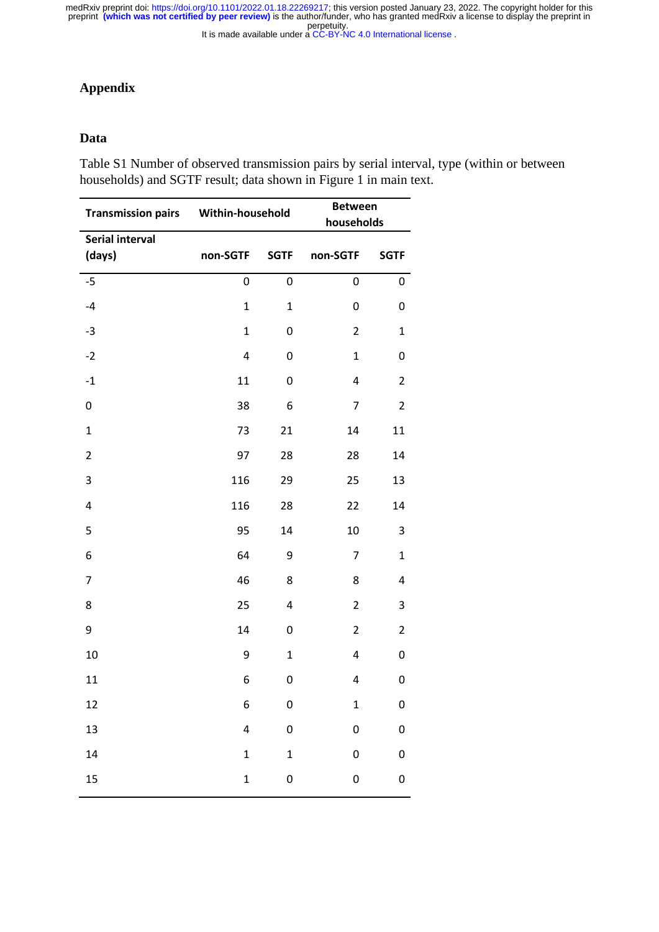# **Appendix**

## **Data**

Table S1 Number of observed transmission pairs by serial interval, type (within or between households) and SGTF result; data shown in Figure 1 in main text.

| <b>Transmission pairs</b>        | Within-household |              | <b>Between</b><br>households |                |
|----------------------------------|------------------|--------------|------------------------------|----------------|
| <b>Serial interval</b><br>(days) | non-SGTF         | <b>SGTF</b>  | non-SGTF                     | <b>SGTF</b>    |
| $-5$                             | 0                | 0            | 0                            | 0              |
| $-4$                             | $\mathbf{1}$     | $\mathbf 1$  | 0                            | 0              |
| $-3$                             | $\mathbf{1}$     | 0            | $\overline{2}$               | $\mathbf 1$    |
| $-2$                             | 4                | 0            | $\mathbf{1}$                 | 0              |
| $-1$                             | 11               | 0            | 4                            | $\overline{2}$ |
| 0                                | 38               | 6            | 7                            | $\overline{2}$ |
| $\mathbf{1}$                     | 73               | 21           | 14                           | 11             |
| $\overline{2}$                   | 97               | 28           | 28                           | 14             |
| 3                                | 116              | 29           | 25                           | 13             |
| 4                                | 116              | 28           | 22                           | 14             |
| 5                                | 95               | 14           | 10                           | 3              |
| 6                                | 64               | 9            | 7                            | $\mathbf 1$    |
| $\overline{7}$                   | 46               | 8            | 8                            | 4              |
| 8                                | 25               | 4            | $\overline{2}$               | 3              |
| 9                                | 14               | 0            | $\overline{2}$               | $\overline{2}$ |
| 10                               | 9                | $\mathbf 1$  | 4                            | 0              |
| 11                               | 6                | $\mathbf 0$  | 4                            | 0              |
| 12                               | 6                | 0            | $\mathbf 1$                  | 0              |
| 13                               | 4                | $\pmb{0}$    | 0                            | 0              |
| 14                               | $\mathbf{1}$     | $\mathbf{1}$ | 0                            | 0              |
| 15                               | $\mathbf 1$      | 0            | 0                            | 0              |